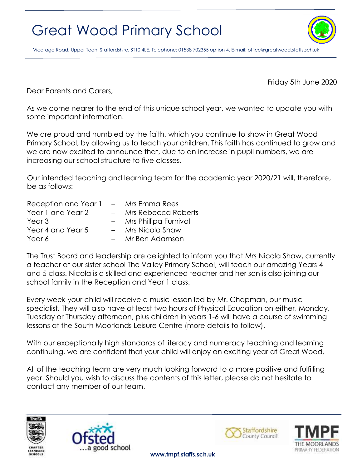## Great Wood Primary School



Vicarage Road, Upper Tean, Staffordshire, ST10 4LE. Telephone: 01538 702355 option 4. E-mail: [office@greatwood.staffs.sch.uk](mailto:office@greatwood.staffs.sch.uk)

Friday 5th June 2020

Dear Parents and Carers,

As we come nearer to the end of this unique school year, we wanted to update you with some important information.

We are proud and humbled by the faith, which you continue to show in Great Wood Primary School, by allowing us to teach your children. This faith has continued to grow and we are now excited to announce that, due to an increase in pupil numbers, we are increasing our school structure to five classes.

Our intended teaching and learning team for the academic year 2020/21 will, therefore, be as follows:

| Reception and Year 1 |                          | - Mrs Emma Rees       |
|----------------------|--------------------------|-----------------------|
| Year 1 and Year 2    | $\sim$ 100 $\mu$         | Mrs Rebecca Roberts   |
| Year <sub>3</sub>    |                          | Mrs Phillipa Furnival |
| Year 4 and Year 5    | $\overline{\phantom{0}}$ | Mrs Nicola Shaw       |
| Year 6               |                          | Mr Ben Adamson        |

The Trust Board and leadership are delighted to inform you that Mrs Nicola Shaw, currently a teacher at our sister school The Valley Primary School, will teach our amazing Years 4 and 5 class. Nicola is a skilled and experienced teacher and her son is also joining our school family in the Reception and Year 1 class.

Every week your child will receive a music lesson led by Mr. Chapman, our music specialist. They will also have at least two hours of Physical Education on either, Monday, Tuesday or Thursday afternoon, plus children in years 1-6 will have a course of swimming lessons at the South Moorlands Leisure Centre (more details to follow).

With our exceptionally high standards of literacy and numeracy teaching and learning continuing, we are confident that your child will enjoy an exciting year at Great Wood.

All of the teaching team are very much looking forward to a more positive and fulfilling year. Should you wish to discuss the contents of this letter, please do not hesitate to contact any member of our team.









**www.tmpf.staffs.sch.uk**